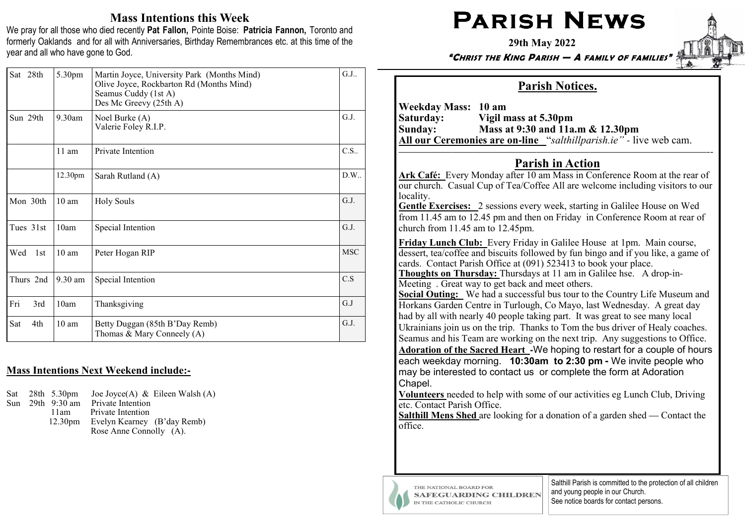## Mass Intentions this Week

We pray for all those who died recently Pat Fallon, Pointe Boise: Patricia Fannon, Toronto and formerly Oaklands and for all with Anniversaries, Birthday Remembrances etc. at this time of the year and all who have gone to God.

| Sat 28th   | 5.30pm           | Martin Joyce, University Park (Months Mind)<br>Olive Joyce, Rockbarton Rd (Months Mind)<br>Seamus Cuddy (1st A)<br>Des Mc Greevy (25th A) | G.J  |
|------------|------------------|-------------------------------------------------------------------------------------------------------------------------------------------|------|
| Sun 29th   | $9.30$ am        | Noel Burke (A)<br>Valerie Foley R.I.P.                                                                                                    | G.J. |
|            | $11$ am          | Private Intention                                                                                                                         | C.S. |
|            | 12.30pm          | Sarah Rutland (A)                                                                                                                         | D.W. |
| Mon 30th   | 10 <sub>am</sub> | <b>Holy Souls</b>                                                                                                                         |      |
| Tues 31st  | 10am             | Special Intention                                                                                                                         |      |
| Wed<br>1st | 10 <sub>am</sub> | Peter Hogan RIP                                                                                                                           |      |
| Thurs 2nd  | 9.30 am          | Special Intention                                                                                                                         |      |
| Fri<br>3rd | 10am             | Thanksgiving                                                                                                                              | G.J  |
| Sat<br>4th | 10 <sub>am</sub> | Betty Duggan (85th B'Day Remb)<br>Thomas & Mary Conneely (A)                                                                              | G.J. |

## Mass Intentions Next Weekend include:**-**

|     | Sat 28th 5.30pm     | Joe Joyce(A) & Eileen Walsh (A) |
|-----|---------------------|---------------------------------|
| Sun | 29th 9:30 am        | Private Intention               |
|     | 11am                | Private Intention               |
|     | 12.30 <sub>pm</sub> | Evelyn Kearney (B'day Remb)     |
|     |                     | Rose Anne Connolly (A).         |

# $\mathsf{PARISH}\ \mathsf{N}\mathsf{EWS}$

29th May 2022

"CHRIST THE KING PARISH — A FAMILY OF FAMILIES"

## Parish Notices.

Weekday Mass: 10 am<br>Saturday: Vigil n Saturday: Vigil mass at 5.30pm Sunday: Mass at 9:30 and 11a.m & 12.30pm All our Ceremonies are on**-**line "salthillparish.ie" *-* live web cam.

#### —————————————————————–————–———-- Parish in Action

Ark Café: Every Monday after 10 am Mass in Conference Room at the rear of our church. Casual Cup of Tea/Coffee All are welcome including visitors to our locality.

Gentle Exercises: 2 sessions every week, starting in Galilee House on Wed from 11.45 am to 12.45 pm and then on Friday in Conference Room at rear of church from 11.45 am to 12.45pm.

Friday Lunch Club: Every Friday in Galilee House at 1pm. Main course, dessert, tea/coffee and biscuits followed by fun bingo and if you like, a game of cards. Contact Parish Office at (091) 523413 to book your place.

Thoughts on Thursday: Thursdays at 11 am in Galilee hse. A drop-in-Meeting . Great way to get back and meet others.

Social Outing: We had a successful bus tour to the Country Life Museum and Horkans Garden Centre in Turlough, Co Mayo, last Wednesday. A great day had by all with nearly 40 people taking part. It was great to see many local Ukrainians join us on the trip. Thanks to Tom the bus driver of Healy coaches. Seamus and his Team are working on the next trip. Any suggestions to Office. Adoration of the Sacred Heart **-**We hoping to restart for a couple of hours each weekday morning. 10:30am to 2:30 pm **-** We invite people who may be interested to contact us or complete the form at Adoration Chapel.

Volunteers needed to help with some of our activities eg Lunch Club, Driving etc. Contact Parish Office.

Salthill Mens Shed are looking for a donation of a garden shed — Contact the office.



THE NATIONAL BOARD FOR **SAFEGUARDING CHILDREN** IN THE CATHOLIC CHURCH

Salthill Parish is committed to the protection of all children and young people in our Church. See notice boards for contact persons.